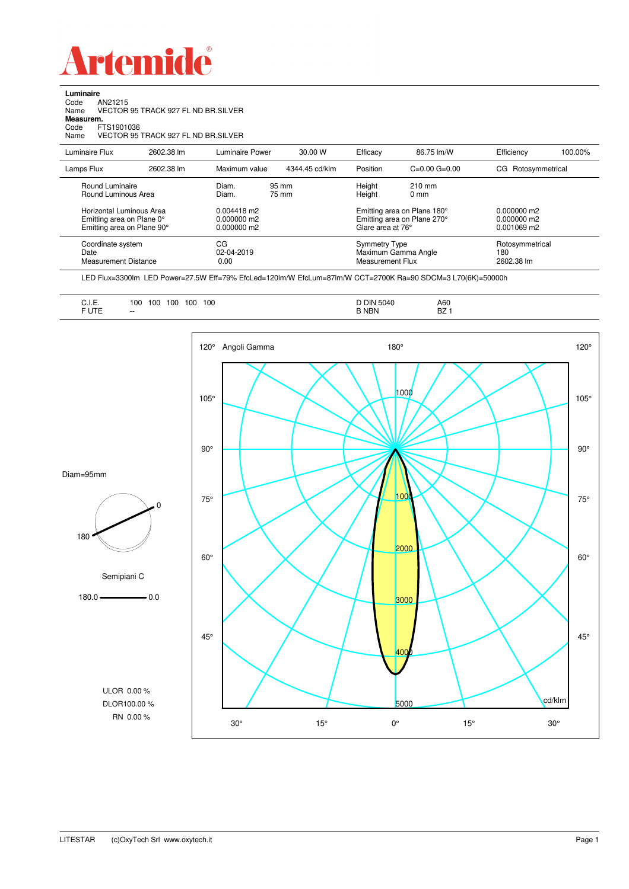

**Luminaire**<br>Code *A*<br>Name V Code AN21215 Name VECTOR 95 TRACK 927 FL ND BR.SILVER

**Measurem.** Code FTS1901036

Name VECTOR 95 TRACK 927 FL ND BR.SILVER

| Luminaire Flux                                                                                                                | 2602.38 lm | Luminaire Power                                                                     | 30.00 W        | Efficacy                                                                                                                                  | 86.75 lm/W          | Efficiency                                      | 100.00% |
|-------------------------------------------------------------------------------------------------------------------------------|------------|-------------------------------------------------------------------------------------|----------------|-------------------------------------------------------------------------------------------------------------------------------------------|---------------------|-------------------------------------------------|---------|
| Lamps Flux                                                                                                                    | 2602.38 lm | Maximum value                                                                       | 4344.45 cd/klm | Position                                                                                                                                  | $C=0.00$ $G=0.00$   | CG Rotosymmetrical                              |         |
| Round Luminaire<br>Round Luminous Area<br>Horizontal Luminous Area<br>Emitting area on Plane 0°<br>Emitting area on Plane 90° |            | Diam.<br>95 mm<br>Diam.<br>75 mm<br>$0.004418$ m2<br>$0.000000$ m2<br>$0.000000$ m2 |                | Height<br>$210 \text{ mm}$<br>Height<br>$0 \text{ mm}$<br>Emitting area on Plane 180°<br>Emitting area on Plane 270°<br>Glare area at 76° |                     | $0.000000$ m2<br>$0.000000$ m2<br>$0.001069$ m2 |         |
| Coordinate system<br>Date<br>Measurement Distance                                                                             |            | CG<br>02-04-2019<br>0.00                                                            |                | Symmetry Type<br>Measurement Flux                                                                                                         | Maximum Gamma Angle | Rotosymmetrical<br>180<br>2602.38 lm            |         |

LED Flux=3300lm LED Power=27.5W Eff=79% EfcLed=120lm/W EfcLum=87lm/W CCT=2700K Ra=90 SDCM=3 L70(6K)=50000h